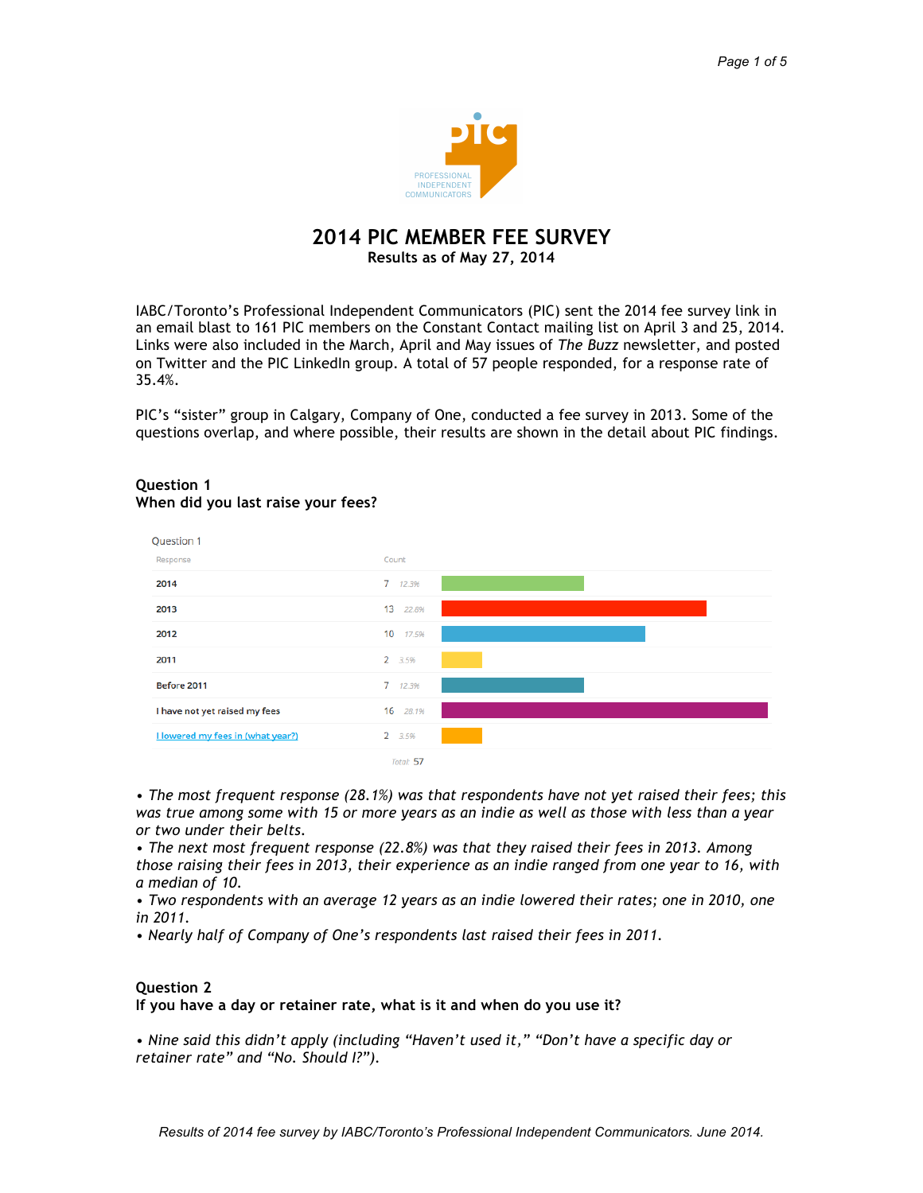

### **2014 PIC MEMBER FEE SURVEY Results as of May 27, 2014**

IABC/Toronto's Professional Independent Communicators (PIC) sent the 2014 fee survey link in an email blast to 161 PIC members on the Constant Contact mailing list on April 3 and 25, 2014. Links were also included in the March, April and May issues of *The Buzz* newsletter, and posted on Twitter and the PIC LinkedIn group. A total of 57 people responded, for a response rate of 35.4%.

PIC's "sister" group in Calgary, Company of One, conducted a fee survey in 2013. Some of the questions overlap, and where possible, their results are shown in the detail about PIC findings.

#### Question 1 Response Count 2014 7 12.3% 2013 13 22.8% 2012 17.5%  $10<sup>1</sup>$ 2011 2 3.5% Before 2011  $\overline{7}$ 12.3% I have not yet raised my fees  $16 - 281%$ **I lowered my fees in (what year?)**  $2, 3.5%$ Total: 57

### **Question 1 When did you last raise your fees?**

*• The most frequent response (28.1%) was that respondents have not yet raised their fees; this was true among some with 15 or more years as an indie as well as those with less than a year or two under their belts.* 

*• The next most frequent response (22.8%) was that they raised their fees in 2013. Among those raising their fees in 2013, their experience as an indie ranged from one year to 16, with a median of 10.* 

• Two respondents with an average 12 years as an indie lowered their rates; one in 2010, one *in 2011.*

*• Nearly half of Company of One's respondents last raised their fees in 2011.*

### **Question 2 If you have a day or retainer rate, what is it and when do you use it?**

*• Nine said this didn't apply (including "Haven't used it," "Don't have a specific day or retainer rate" and "No. Should I?").*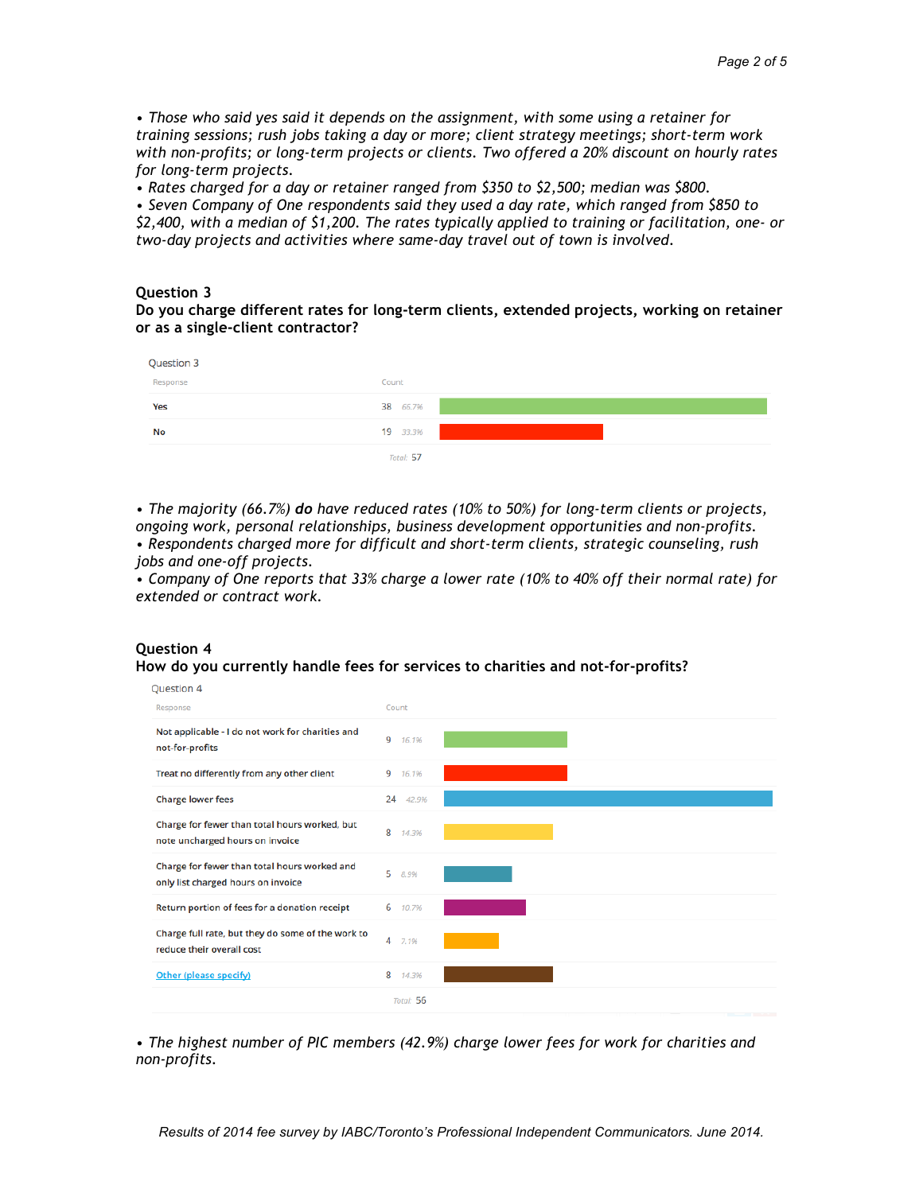*• Those who said yes said it depends on the assignment, with some using a retainer for training sessions; rush jobs taking a day or more; client strategy meetings; short-term work with non-profits; or long-term projects or clients. Two offered a 20% discount on hourly rates for long-term projects.*

*• Rates charged for a day or retainer ranged from \$350 to \$2,500; median was \$800.*

*• Seven Company of One respondents said they used a day rate, which ranged from \$850 to \$2,400, with a median of \$1,200. The rates typically applied to training or facilitation, one- or two-day projects and activities where same-day travel out of town is involved.*

#### **Question 3**

**Do you charge different rates for long-term clients, extended projects, working on retainer or as a single-client contractor?**

| Question 3 |           |
|------------|-----------|
| Response   | Count     |
| Yes        | 38 66.7%  |
| No         | 19 33.3%  |
|            | Total: 57 |

*• The majority (66.7%) do have reduced rates (10% to 50%) for long-term clients or projects, ongoing work, personal relationships, business development opportunities and non-profits.* 

*• Respondents charged more for difficult and short-term clients, strategic counseling, rush jobs and one-off projects.*

*• Company of One reports that 33% charge a lower rate (10% to 40% off their normal rate) for extended or contract work.*



*• The highest number of PIC members (42.9%) charge lower fees for work for charities and non-profits.* 

# **Question 4 How do you currently handle fees for services to charities and not-for-profits?**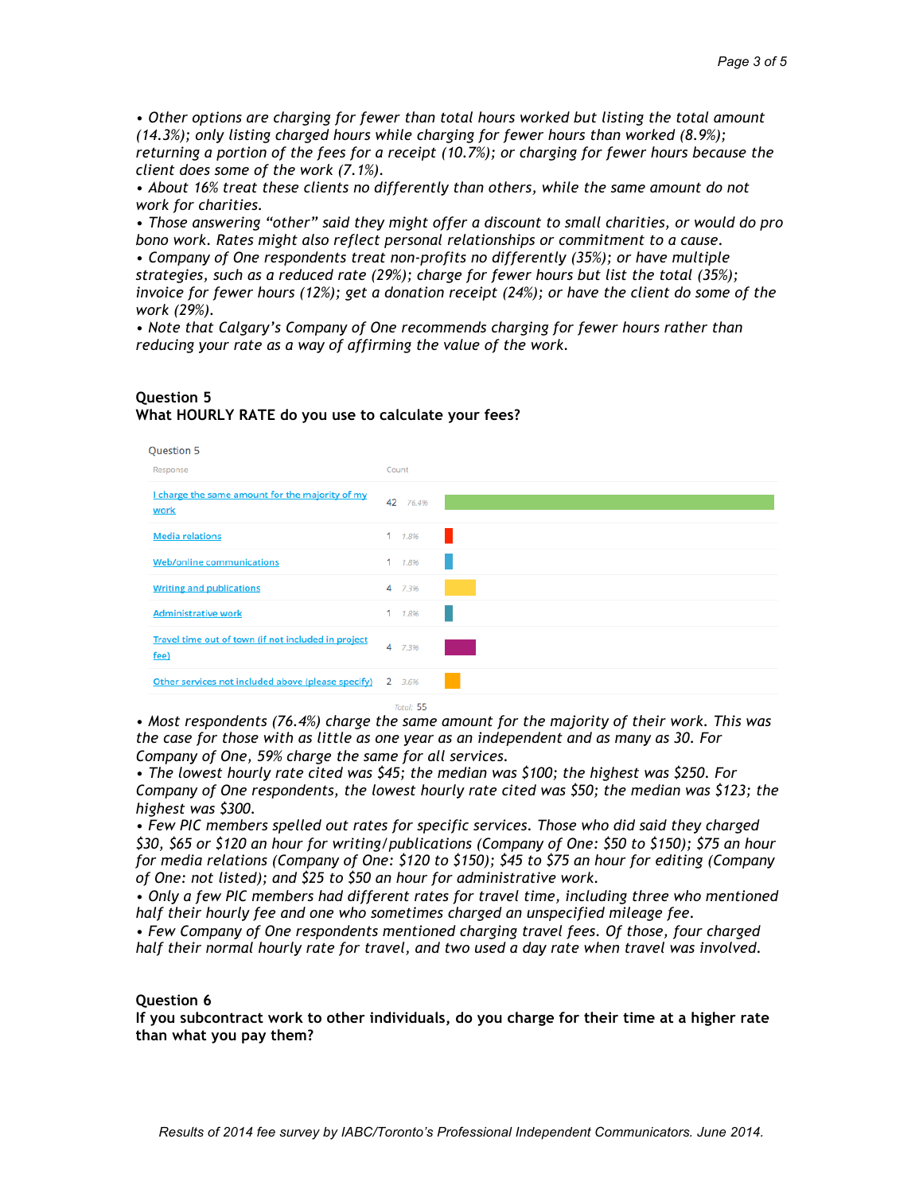*• Other options are charging for fewer than total hours worked but listing the total amount (14.3%); only listing charged hours while charging for fewer hours than worked (8.9%); returning a portion of the fees for a receipt (10.7%); or charging for fewer hours because the client does some of the work (7.1%).* 

*• About 16% treat these clients no differently than others, while the same amount do not work for charities.* 

*• Those answering "other" said they might offer a discount to small charities, or would do pro bono work. Rates might also reflect personal relationships or commitment to a cause.*

*• Company of One respondents treat non-profits no differently (35%); or have multiple strategies, such as a reduced rate (29%); charge for fewer hours but list the total (35%); invoice for fewer hours (12%); get a donation receipt (24%); or have the client do some of the work (29%).*

*• Note that Calgary's Company of One recommends charging for fewer hours rather than reducing your rate as a way of affirming the value of the work.*

#### **Question 5 What HOURLY RATE do you use to calculate your fees?**

| Question 5                                                  |             |
|-------------------------------------------------------------|-------------|
| Response                                                    | Count       |
| I charge the same amount for the majority of my<br>work     | 42<br>76.4% |
| <b>Media relations</b>                                      | 1 1.8%      |
| <b>Web/online communications</b>                            | $1 - 1.8%$  |
| <b>Writing and publications</b>                             | 4 7.3%      |
| <b>Administrative work</b>                                  | $1 - 1.8%$  |
| Travel time out of town (if not included in project<br>fee) | 4<br>7.3%   |
| Other services not included above (please specify)          | 2 3.6%      |
|                                                             | Total: 55   |

*• Most respondents (76.4%) charge the same amount for the majority of their work. This was the case for those with as little as one year as an independent and as many as 30. For Company of One, 59% charge the same for all services.*

*• The lowest hourly rate cited was \$45; the median was \$100; the highest was \$250. For Company of One respondents, the lowest hourly rate cited was \$50; the median was \$123; the highest was \$300.*

*• Few PIC members spelled out rates for specific services. Those who did said they charged \$30, \$65 or \$120 an hour for writing/publications (Company of One: \$50 to \$150); \$75 an hour for media relations (Company of One: \$120 to \$150); \$45 to \$75 an hour for editing (Company of One: not listed); and \$25 to \$50 an hour for administrative work.*

*• Only a few PIC members had different rates for travel time, including three who mentioned half their hourly fee and one who sometimes charged an unspecified mileage fee.*

*• Few Company of One respondents mentioned charging travel fees. Of those, four charged half their normal hourly rate for travel, and two used a day rate when travel was involved.*

#### **Question 6**

**If you subcontract work to other individuals, do you charge for their time at a higher rate than what you pay them?**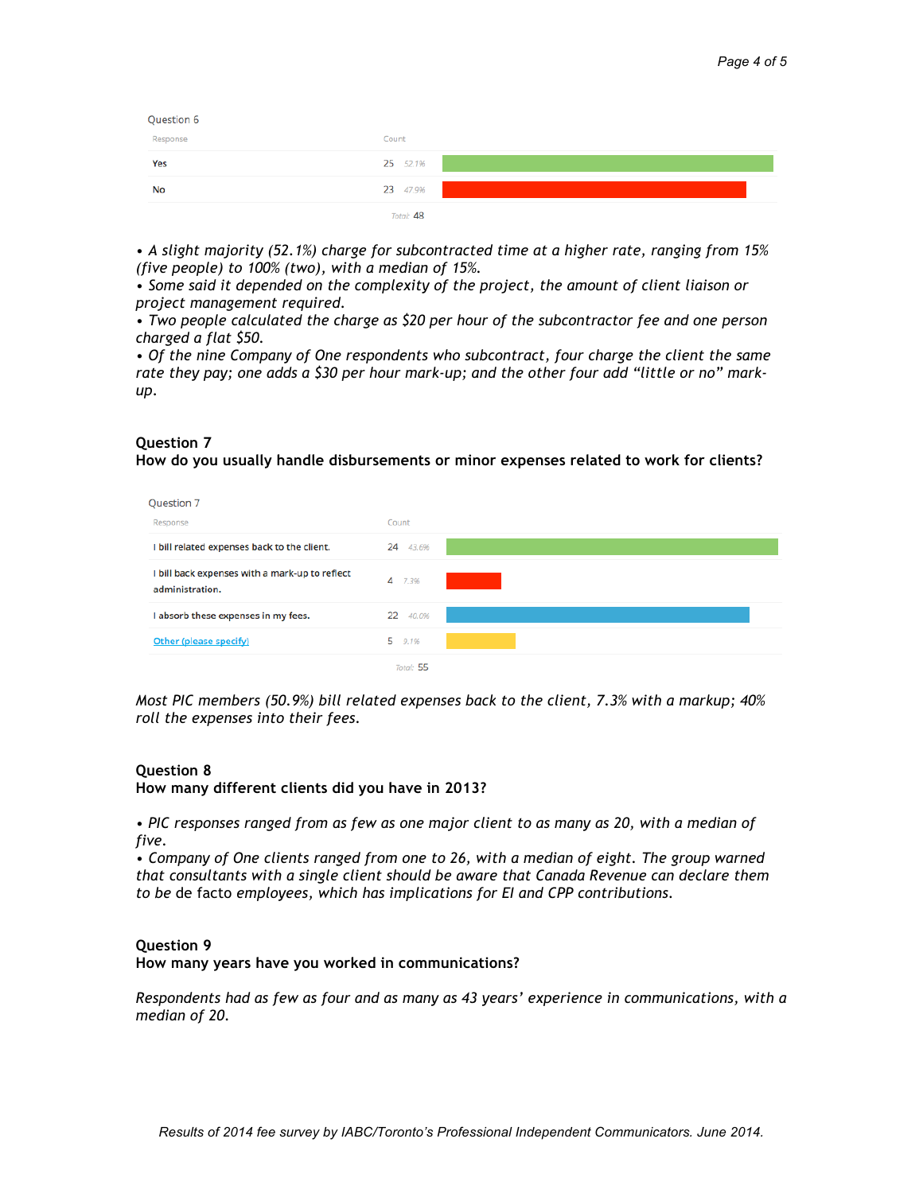| Question 6 |           |
|------------|-----------|
| Response   | Count     |
| Yes        | 25 52.1%  |
| No         | 23 47.9%  |
|            | Total: 48 |

*• A slight majority (52.1%) charge for subcontracted time at a higher rate, ranging from 15% (five people) to 100% (two), with a median of 15%.* 

*• Some said it depended on the complexity of the project, the amount of client liaison or project management required.* 

*• Two people calculated the charge as \$20 per hour of the subcontractor fee and one person charged a flat \$50.*

*• Of the nine Company of One respondents who subcontract, four charge the client the same rate they pay; one adds a \$30 per hour mark-up; and the other four add "little or no" markup.*

## **Question 7**

**How do you usually handle disbursements or minor expenses related to work for clients?**

| Question 7                                                        |             |  |
|-------------------------------------------------------------------|-------------|--|
| Response                                                          | Count       |  |
| I bill related expenses back to the client.                       | 43.6%<br>24 |  |
| I bill back expenses with a mark-up to reflect<br>administration. | 4<br>7.3%   |  |
| I absorb these expenses in my fees.                               | 22<br>40.0% |  |
| Other (please specify)                                            | 5 9.1%      |  |
|                                                                   | Total: 55   |  |

*Most PIC members (50.9%) bill related expenses back to the client, 7.3% with a markup; 40% roll the expenses into their fees.*

#### **Question 8**

**How many different clients did you have in 2013?**

*• PIC responses ranged from as few as one major client to as many as 20, with a median of five.*

*• Company of One clients ranged from one to 26, with a median of eight. The group warned that consultants with a single client should be aware that Canada Revenue can declare them to be* de facto *employees, which has implications for EI and CPP contributions.*

#### **Question 9**

**How many years have you worked in communications?**

*Respondents had as few as four and as many as 43 years' experience in communications, with a median of 20.*